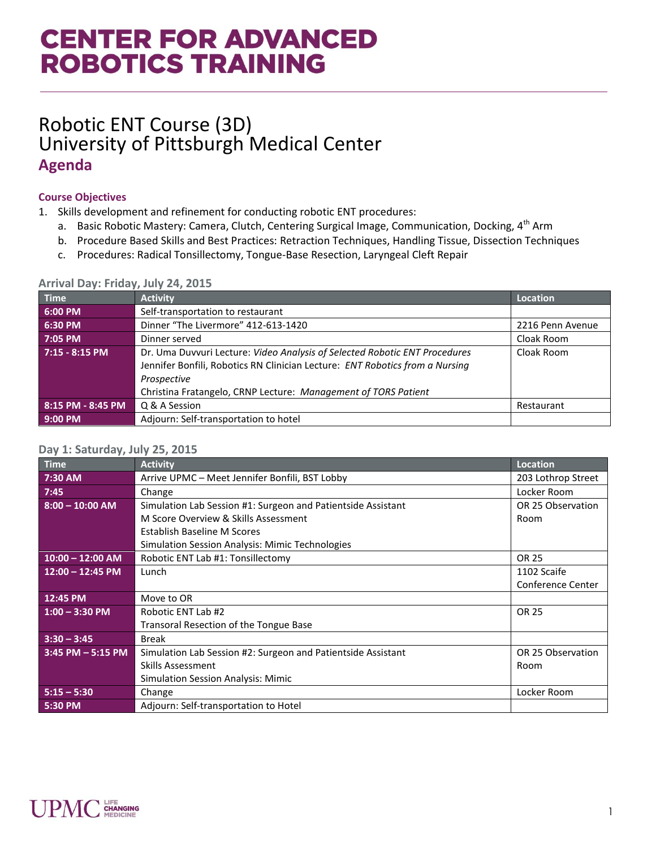# **CENTER FOR ADVANCED ROBOTICS TRAINING**

## Robotic ENT Course (3D) University of Pittsburgh Medical Center **Agenda**

### **Course Objectives**

- 1. Skills development and refinement for conducting robotic ENT procedures:
	- a. Basic Robotic Mastery: Camera, Clutch, Centering Surgical Image, Communication, Docking, 4<sup>th</sup> Arm
	- b. Procedure Based Skills and Best Practices: Retraction Techniques, Handling Tissue, Dissection Techniques
	- c. Procedures: Radical Tonsillectomy, Tongue-Base Resection, Laryngeal Cleft Repair

| Time              | <b>Activity</b>                                                                                                                                                                                                                             | <b>Location</b>  |
|-------------------|---------------------------------------------------------------------------------------------------------------------------------------------------------------------------------------------------------------------------------------------|------------------|
| 6:00 PM           | Self-transportation to restaurant                                                                                                                                                                                                           |                  |
| 6:30 PM           | Dinner "The Livermore" 412-613-1420                                                                                                                                                                                                         | 2216 Penn Avenue |
| 7:05 PM           | Dinner served                                                                                                                                                                                                                               | Cloak Room       |
| 7:15 - 8:15 PM    | Dr. Uma Duvvuri Lecture: Video Analysis of Selected Robotic ENT Procedures<br>Jennifer Bonfili, Robotics RN Clinician Lecture: ENT Robotics from a Nursing<br>Prospective<br>Christina Fratangelo, CRNP Lecture: Management of TORS Patient | Cloak Room       |
| 8:15 PM - 8:45 PM | Q & A Session                                                                                                                                                                                                                               | Restaurant       |
| $9:00$ PM         | Adjourn: Self-transportation to hotel                                                                                                                                                                                                       |                  |

#### **Arrival Day: Friday, July 24, 2015**

#### **Day 1: Saturday, July 25, 2015**

| Time                 | <b>Activity</b>                                              | Location           |
|----------------------|--------------------------------------------------------------|--------------------|
| 7:30 AM              | Arrive UPMC - Meet Jennifer Bonfili, BST Lobby               | 203 Lothrop Street |
| 7:45                 | Change                                                       | Locker Room        |
| $8:00 - 10:00$ AM    | Simulation Lab Session #1: Surgeon and Patientside Assistant | OR 25 Observation  |
|                      | M Score Overview & Skills Assessment                         | Room               |
|                      | Establish Baseline M Scores                                  |                    |
|                      | Simulation Session Analysis: Mimic Technologies              |                    |
| $10:00 - 12:00$ AM   | Robotic ENT Lab #1: Tonsillectomy                            | <b>OR 25</b>       |
| $12:00 - 12:45$ PM   | Lunch                                                        | 1102 Scaife        |
|                      |                                                              | Conference Center  |
| 12:45 PM             | Move to OR                                                   |                    |
| $1:00 - 3:30$ PM     | Robotic ENT Lab #2                                           | <b>OR 25</b>       |
|                      | Transoral Resection of the Tongue Base                       |                    |
| $3:30 - 3:45$        | <b>Break</b>                                                 |                    |
| $3:45$ PM $-5:15$ PM | Simulation Lab Session #2: Surgeon and Patientside Assistant | OR 25 Observation  |
|                      | Skills Assessment                                            | Room               |
|                      | <b>Simulation Session Analysis: Mimic</b>                    |                    |
| $5:15 - 5:30$        | Change                                                       | Locker Room        |
| 5:30 PM              | Adjourn: Self-transportation to Hotel                        |                    |